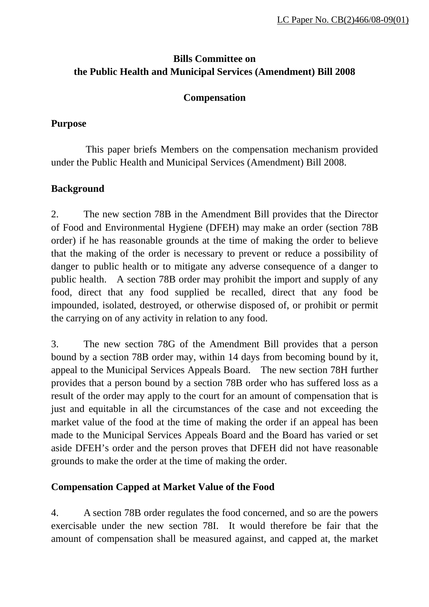# **Bills Committee on the Public Health and Municipal Services (Amendment) Bill 2008**

#### **Compensation**

#### **Purpose**

 This paper briefs Members on the compensation mechanism provided under the Public Health and Municipal Services (Amendment) Bill 2008.

## **Background**

2. The new section 78B in the Amendment Bill provides that the Director of Food and Environmental Hygiene (DFEH) may make an order (section 78B order) if he has reasonable grounds at the time of making the order to believe that the making of the order is necessary to prevent or reduce a possibility of danger to public health or to mitigate any adverse consequence of a danger to public health. A section 78B order may prohibit the import and supply of any food, direct that any food supplied be recalled, direct that any food be impounded, isolated, destroyed, or otherwise disposed of, or prohibit or permit the carrying on of any activity in relation to any food.

3. The new section 78G of the Amendment Bill provides that a person bound by a section 78B order may, within 14 days from becoming bound by it, appeal to the Municipal Services Appeals Board. The new section 78H further provides that a person bound by a section 78B order who has suffered loss as a result of the order may apply to the court for an amount of compensation that is just and equitable in all the circumstances of the case and not exceeding the market value of the food at the time of making the order if an appeal has been made to the Municipal Services Appeals Board and the Board has varied or set aside DFEH's order and the person proves that DFEH did not have reasonable grounds to make the order at the time of making the order.

## **Compensation Capped at Market Value of the Food**

4. A section 78B order regulates the food concerned, and so are the powers exercisable under the new section 78I. It would therefore be fair that the amount of compensation shall be measured against, and capped at, the market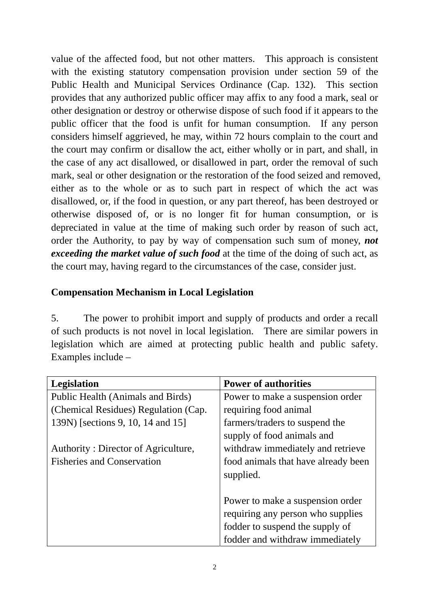value of the affected food, but not other matters. This approach is consistent with the existing statutory compensation provision under section 59 of the Public Health and Municipal Services Ordinance (Cap. 132). This section provides that any authorized public officer may affix to any food a mark, seal or other designation or destroy or otherwise dispose of such food if it appears to the public officer that the food is unfit for human consumption. If any person considers himself aggrieved, he may, within 72 hours complain to the court and the court may confirm or disallow the act, either wholly or in part, and shall, in the case of any act disallowed, or disallowed in part, order the removal of such mark, seal or other designation or the restoration of the food seized and removed, either as to the whole or as to such part in respect of which the act was disallowed, or, if the food in question, or any part thereof, has been destroyed or otherwise disposed of, or is no longer fit for human consumption, or is depreciated in value at the time of making such order by reason of such act, order the Authority, to pay by way of compensation such sum of money, *not exceeding the market value of such food* at the time of the doing of such act, as the court may, having regard to the circumstances of the case, consider just.

## **Compensation Mechanism in Local Legislation**

5. The power to prohibit import and supply of products and order a recall of such products is not novel in local legislation. There are similar powers in legislation which are aimed at protecting public health and public safety. Examples include –

| <b>Legislation</b>                   | <b>Power of authorities</b>         |
|--------------------------------------|-------------------------------------|
| Public Health (Animals and Birds)    | Power to make a suspension order    |
| (Chemical Residues) Regulation (Cap. | requiring food animal               |
| 139N) [sections 9, 10, 14 and 15]    | farmers/traders to suspend the      |
|                                      | supply of food animals and          |
| Authority: Director of Agriculture,  | withdraw immediately and retrieve   |
| <b>Fisheries and Conservation</b>    | food animals that have already been |
|                                      | supplied.                           |
|                                      |                                     |
|                                      | Power to make a suspension order    |
|                                      | requiring any person who supplies   |
|                                      | fodder to suspend the supply of     |
|                                      | fodder and withdraw immediately     |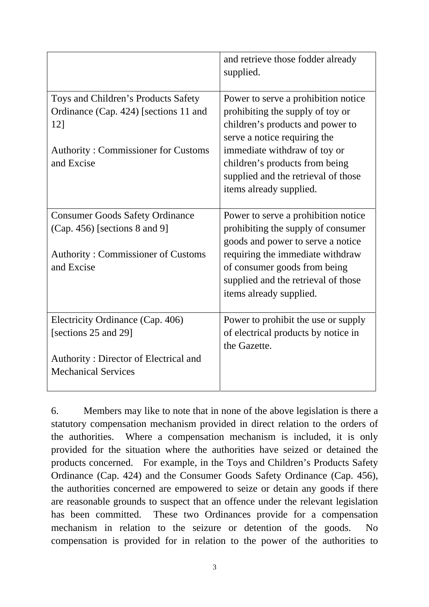|                                                                                                                                                 | and retrieve those fodder already<br>supplied.                                                                                                                                                                                                                                  |
|-------------------------------------------------------------------------------------------------------------------------------------------------|---------------------------------------------------------------------------------------------------------------------------------------------------------------------------------------------------------------------------------------------------------------------------------|
| Toys and Children's Products Safety<br>Ordinance (Cap. 424) [sections 11 and<br>12]<br><b>Authority: Commissioner for Customs</b><br>and Excise | Power to serve a prohibition notice<br>prohibiting the supply of toy or<br>children's products and power to<br>serve a notice requiring the<br>immediate withdraw of toy or<br>children's products from being<br>supplied and the retrieval of those<br>items already supplied. |
| <b>Consumer Goods Safety Ordinance</b><br>$(Cap. 456)$ [sections 8 and 9]<br><b>Authority: Commissioner of Customs</b><br>and Excise            | Power to serve a prohibition notice<br>prohibiting the supply of consumer<br>goods and power to serve a notice<br>requiring the immediate withdraw<br>of consumer goods from being<br>supplied and the retrieval of those<br>items already supplied.                            |
| Electricity Ordinance (Cap. 406)<br>[sections 25 and 29]<br>Authority: Director of Electrical and<br><b>Mechanical Services</b>                 | Power to prohibit the use or supply<br>of electrical products by notice in<br>the Gazette.                                                                                                                                                                                      |

6. Members may like to note that in none of the above legislation is there a statutory compensation mechanism provided in direct relation to the orders of the authorities. Where a compensation mechanism is included, it is only provided for the situation where the authorities have seized or detained the products concerned. For example, in the Toys and Children's Products Safety Ordinance (Cap. 424) and the Consumer Goods Safety Ordinance (Cap. 456), the authorities concerned are empowered to seize or detain any goods if there are reasonable grounds to suspect that an offence under the relevant legislation has been committed. These two Ordinances provide for a compensation mechanism in relation to the seizure or detention of the goods. No compensation is provided for in relation to the power of the authorities to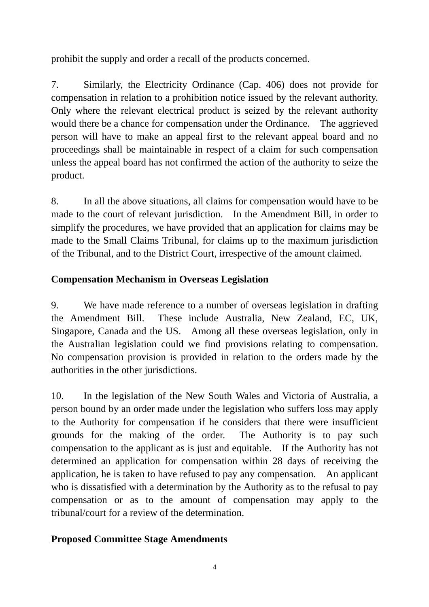prohibit the supply and order a recall of the products concerned.

7. Similarly, the Electricity Ordinance (Cap. 406) does not provide for compensation in relation to a prohibition notice issued by the relevant authority. Only where the relevant electrical product is seized by the relevant authority would there be a chance for compensation under the Ordinance. The aggrieved person will have to make an appeal first to the relevant appeal board and no proceedings shall be maintainable in respect of a claim for such compensation unless the appeal board has not confirmed the action of the authority to seize the product.

8. In all the above situations, all claims for compensation would have to be made to the court of relevant jurisdiction. In the Amendment Bill, in order to simplify the procedures, we have provided that an application for claims may be made to the Small Claims Tribunal, for claims up to the maximum jurisdiction of the Tribunal, and to the District Court, irrespective of the amount claimed.

# **Compensation Mechanism in Overseas Legislation**

9. We have made reference to a number of overseas legislation in drafting the Amendment Bill. These include Australia, New Zealand, EC, UK, Singapore, Canada and the US. Among all these overseas legislation, only in the Australian legislation could we find provisions relating to compensation. No compensation provision is provided in relation to the orders made by the authorities in the other jurisdictions.

10. In the legislation of the New South Wales and Victoria of Australia, a person bound by an order made under the legislation who suffers loss may apply to the Authority for compensation if he considers that there were insufficient grounds for the making of the order. The Authority is to pay such compensation to the applicant as is just and equitable. If the Authority has not determined an application for compensation within 28 days of receiving the application, he is taken to have refused to pay any compensation. An applicant who is dissatisfied with a determination by the Authority as to the refusal to pay compensation or as to the amount of compensation may apply to the tribunal/court for a review of the determination.

## **Proposed Committee Stage Amendments**